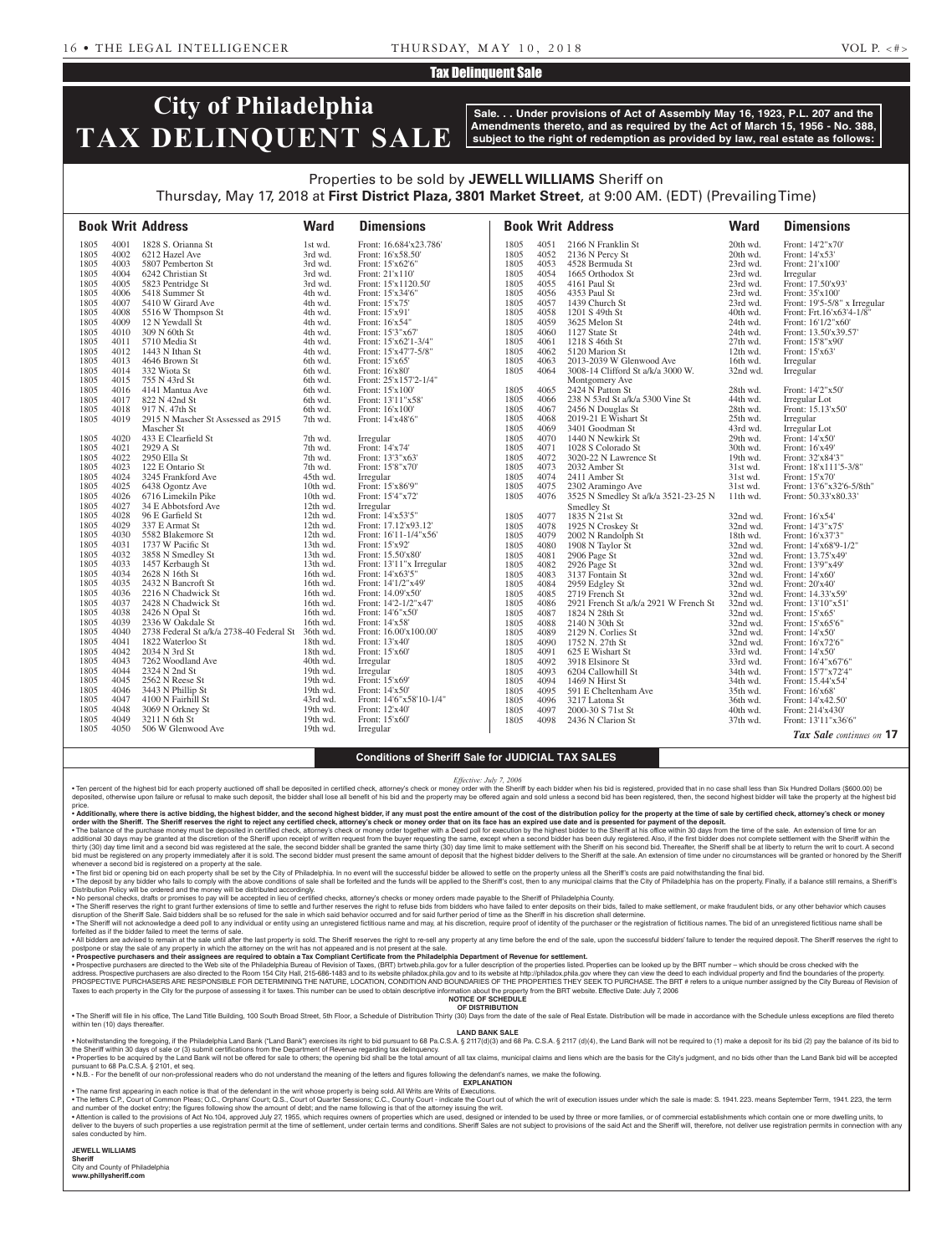### Tax Delinquent Sale

# **City of Philadelphia TAX DELINQUENT SALE**

**Sale. . . Under provisions of Act of Assembly May 16, 1923, P.L. 207 and the Amendments thereto, and as required by the Act of March 15, 1956 - No. 388, subject to the right of redemption as provided by law, real estate as follows:**

### Properties to be sold by **JEWELL WILLIAMS** Sheriff on Thursday, May 17, 2018 at **First District Plaza, 3801 Market Street**, at 9:00 AM. (EDT) (Prevailing Time)

|              |              | <b>Book Writ Address</b>                          | <b>Ward</b>          | <b>Dimensions</b>                       |              |              | <b>Book Writ Address</b>              | <b>Ward</b>          | <b>Dimensions</b>                        |
|--------------|--------------|---------------------------------------------------|----------------------|-----------------------------------------|--------------|--------------|---------------------------------------|----------------------|------------------------------------------|
| 1805         | 4001         | 1828 S. Orianna St                                | 1st wd.              | Front: 16.684'x23.786'                  | 1805         | 4051         | 2166 N Franklin St                    | 20th wd.             | Front: 14'2"x70"                         |
| 1805         | 4002         | 6212 Hazel Ave                                    | 3rd wd.              | Front: 16'x58.50'                       | 1805         | 4052         | 2136 N Percy St                       | 20th wd.             | Front: 14'x53'                           |
| 1805         | 4003         | 5807 Pemberton St                                 | 3rd wd.              | Front: 15'x62'6"                        | 1805         | 4053         | 4528 Bermuda St                       | 23rd wd.             | Front: 21'x100'                          |
| 1805         | 4004         | 6242 Christian St                                 | 3rd wd.              | Front: 21'x110'                         | 1805         | 4054         | 1665 Orthodox St                      | 23rd wd.             | Irregular                                |
| 1805         | 4005         | 5823 Pentridge St                                 | 3rd wd.              | Front: 15'x1120.50'                     | 1805         | 4055         | 4161 Paul St                          | 23rd wd.             | Front: 17.50'x93'                        |
| 1805         | 4006         | 5418 Summer St                                    | 4th wd.              | Front: 15'x34'6"                        | 1805         | 4056         | 4353 Paul St                          | 23rd wd.             | Front: 35'x100'                          |
| 1805         | 4007         | 5410 W Girard Ave                                 | 4th wd.              | Front: 15'x75'                          | 1805         | 4057         | 1439 Church St                        | 23rd wd.             | Front: 19'5-5/8" x Irregular             |
| 1805         | 4008         | 5516 W Thompson St                                | 4th wd.              | Front: 15'x91'                          | 1805         | 4058         | 1201 S 49th St                        | 40th wd.             | Front: Frt.16'x63'4-1/8"                 |
| 1805         | 4009         | 12 N Yewdall St                                   | 4th wd.              | Front: 16'x54"                          | 1805         | 4059         | 3625 Melon St                         | 24th wd.             | Front: 16'1/2"x60"                       |
| 1805         | 4010         | 309 N 60th St                                     | 4th wd.              | Front: 15'3"x67'                        | 1805         | 4060         | 1127 State St                         | 24th wd.             | Front: 13.50'x39.57'                     |
| 1805         | 4011         | 5710 Media St                                     | 4th wd.              | Front: 15'x62'1-3/4"                    | 1805         | 4061         | 1218 S 46th St                        | 27th wd.             | Front: 15'8"x90"                         |
| 1805         | 4012         | 1443 N Ithan St                                   | 4th wd.              | Front: 15'x47'7-5/8"                    | 1805         | 4062         | 5120 Marion St                        | 12th wd.             | Front: 15'x63'                           |
| 1805         | 4013         | 4646 Brown St                                     | 6th wd.              | Front: 15'x65'                          | 1805         | 4063         | 2013-2039 W Glenwood Ave              | 16th wd.             | Irregular                                |
| 1805         | 4014         | 332 Wiota St                                      | 6th wd.              | Front: 16'x80'                          | 1805         | 4064         | 3008-14 Clifford St a/k/a 3000 W.     | 32nd wd.             | Irregular                                |
| 1805         | 4015         | 755 N 43rd St                                     | 6th wd.              | Front: 25'x157'2-1/4"                   |              |              | Montgomery Ave                        |                      |                                          |
| 1805         | 4016         | 4141 Mantua Ave                                   | 6th wd.              | Front: 15'x100'                         | 1805         | 4065         | 2424 N Patton St                      | 28th wd.             | Front: 14'2"x50"                         |
| 1805         | 4017         | 822 N 42nd St                                     | 6th wd.              | Front: 13'11"x58'                       | 1805         | 4066         | 238 N 53rd St a/k/a 5300 Vine St      | 44th wd.             | Irregular Lot                            |
| 1805         | 4018         | 917 N. 47th St                                    | 6th wd.              | Front: 16'x100'                         | 1805         | 4067         | 2456 N Douglas St                     | 28th wd.             | Front: 15.13'x50'                        |
| 1805         | 4019         | 2915 N Mascher St Assessed as 2915                | 7th wd.              | Front: 14'x48'6"                        | 1805         | 4068         | 2019-21 E Wishart St                  | 25th wd.             | Irregular                                |
|              |              | Mascher St                                        |                      |                                         | 1805         | 4069         | 3401 Goodman St                       | 43rd wd.             | Irregular Lot                            |
| 1805         | 4020         | 433 E Clearfield St                               | 7th wd.              | Irregular                               | 1805         | 4070         | 1440 N Newkirk St                     | 29th wd.             | Front: 14'x50'                           |
| 1805         | 4021         | 2929 A St                                         | 7th wd.              | Front: 14'x74'                          | 1805         | 4071         | 1028 S Colorado St                    | 30th wd.             | Front: 16'x49'                           |
| 1805         | 4022         | 2950 Ella St                                      | 7th wd.              | Front: 13'3"x63'                        | 1805         | 4072         | 3020-22 N Lawrence St                 | 19th wd.             | Front: 32'x84'3"                         |
| 1805         | 4023         | 122 E Ontario St                                  | 7th wd.              | Front: 15'8"x70'                        | 1805         | 4073         | 2032 Amber St                         | 31st wd.             | Front: 18'x111'5-3/8"                    |
| 1805         | 4024         | 3245 Frankford Ave                                | 45th wd.             | Irregular                               | 1805         | 4074         | 2411 Amber St                         | 31st wd.             | Front: 15'x70'                           |
| 1805         | 4025         | 6438 Ogontz Ave                                   | $10th$ wd.           | Front: 15'x86'9"                        | 1805         | 4075         | 2302 Aramingo Ave                     | 31st wd.             | Front: 13'6"x32'6-5/8th"                 |
| 1805         | 4026         | 6716 Limekiln Pike                                | 10th wd.             | Front: 15'4"x72'                        | 1805         | 4076         | 3525 N Smedley St a/k/a 3521-23-25 N  | 11th wd.             | Front: 50.33'x80.33'                     |
| 1805         | 4027         | 34 E Abbotsford Ave                               | 12th wd.             | Irregular                               |              |              | Smedley St                            |                      |                                          |
| 1805         | 4028         | 96 E Garfield St                                  | 12th wd.             | Front: 14'x53'5"                        | 1805         | 4077         | 1835 N 21st St                        | 32nd wd.             | Front: 16'x54'                           |
| 1805         | 4029         | 337 E Armat St                                    | 12th wd.             | Front: 17.12'x93.12'                    | 1805         | 4078         | 1925 N Croskey St                     | 32nd wd.             | Front: 14'3"x75"                         |
| 1805         | 4030         | 5582 Blakemore St                                 | 12th wd.             | Front: 16'11-1/4"x56'                   | 1805         | 4079         | 2002 N Randolph St                    | 18th wd.             | Front: 16'x37'3"                         |
| 1805         | 4031         | 1737 W Pacific St                                 | 13th wd.             | Front: 15'x92'                          | 1805         | 4080         | 1908 N Taylor St                      | 32nd wd.             | Front: 14'x68'9-1/2"                     |
| 1805         | 4032         | 3858 N Smedley St                                 | 13th wd.             | Front: 15.50'x80'                       | 1805         | 4081         | 2906 Page St                          | 32nd wd.             | Front: 13.75'x49'                        |
| 1805<br>1805 | 4033<br>4034 | 1457 Kerbaugh St<br>2628 N 16th St                | 13th wd.<br>16th wd. | Front: 13'11"x Irregular                | 1805         | 4082         | 2926 Page St                          | 32nd wd.             | Front: 13'9"x49'                         |
|              |              |                                                   |                      | Front: 14'x63'5"                        | 1805         | 4083         | 3137 Fontain St                       | 32nd wd.             | Front: 14'x60'                           |
| 1805<br>1805 | 4035<br>4036 | 2432 N Bancroft St<br>2216 N Chadwick St          | 16th wd.<br>16th wd. | Front: 14'1/2"x49'<br>Front: 14.09'x50' | 1805         | 4084         | 2959 Edgley St                        | 32nd wd.             | Front: 20'x40'                           |
| 1805         | 4037         |                                                   | 16th wd.             | Front: 14'2-1/2"x47'                    | 1805         | 4085         | 2719 French St                        | 32nd wd.             | Front: 14.33'x59'                        |
| 1805         | 4038         | 2428 N Chadwick St<br>2426 N Opal St              | 16th wd.             | Front: 14'6"x50"                        | 1805<br>1805 | 4086<br>4087 | 2921 French St a/k/a 2921 W French St | 32nd wd.             | Front: 13'10"x51"                        |
| 1805         | 4039         | 2336 W Oakdale St                                 | 16th wd.             | Front: 14'x58'                          | 1805         | 4088         | 1824 N 28th St<br>2140 N 30th St      | 32nd wd.<br>32nd wd. | Front: 15'x65'<br>Front: 15'x65'6"       |
| 1805         | 4040         | 2738 Federal St a/k/a 2738-40 Federal St 36th wd. |                      | Front: 16.00'x100.00'                   | 1805         | 4089         | 2129 N. Corlies St                    | 32nd wd.             |                                          |
| 1805         | 4041         | 1822 Waterloo St                                  | 18th wd.             | Front: 13'x40'                          | 1805         | 4090         | 1752 N. 27th St                       | 32nd wd.             | Front: 14'x50'<br>Front: 16'x72'6"       |
| 1805         | 4042         | 2034 N 3rd St                                     | 18th wd.             | Front: 15'x60'                          | 1805         | 4091         | 625 E Wishart St                      | 33rd wd.             | Front: 14'x50'                           |
| 1805         | 4043         | 7262 Woodland Ave                                 | 40th wd.             | Irregular                               | 1805         | 4092         | 3918 Elsinore St                      | 33rd wd.             |                                          |
| 1805         | 4044         | 2324 N 2nd St                                     | 19th wd.             | Irregular                               | 1805         | 4093         | 6204 Callowhill St                    | 34th wd.             | Front: 16'4"x67'6"<br>Front: 15'7"x72'4" |
| 1805         | 4045         | 2562 N Reese St                                   | $19th$ wd.           | Front: 15'x69'                          | 1805         | 4094         | 1469 N Hirst St                       | 34th wd.             | Front: 15.44'x54'                        |
| 1805         | 4046         | 3443 N Phillip St                                 | $19th$ wd.           | Front: 14'x50'                          | 1805         | 4095         | 591 E Cheltenham Ave                  | 35th wd.             | Front: 16'x68'                           |
| 1805         | 4047         | 4100 N Fairhill St                                | 43rd wd.             | Front: 14'6"x58'10-1/4"                 | 1805         | 4096         | 3217 Latona St                        | 36th wd.             | Front: 14'x42.50'                        |
| 1805         | 4048         | 3069 N Orkney St                                  | 19th wd.             | Front: 12'x40'                          | 1805         | 4097         | 2000-30 S 71st St                     | 40th wd.             | Front: 214'x430'                         |
| 1805         | 4049         | 3211 N 6th St                                     | 19th wd.             | Front: 15'x60'                          | 1805         | 4098         | 2436 N Clarion St                     | 37th wd.             | Front: 13'11"x36'6"                      |
| 1805         | 4050         | 506 W Glenwood Ave                                | 19th wd.             | Irregular                               |              |              |                                       |                      |                                          |
|              |              |                                                   |                      |                                         |              |              |                                       |                      | Tax Sale continues on 17                 |

### **Conditions of Sheriff Sale for JUDICIAL TAX SALES**

#### *Effective: July 7, 2006*

• Ten percent of the highest bid for each property auctioned off shall be deposited in certified check, attorney's check or money order with the Sheriff by each bidder when his bid is registered, provided that in no case s price.

• Additionally, where there is active bidding, the highest bidder, and the second highest bidder, if any must post the entire amount of the cost of the distribution policy for the property at the time of sale by certified

∙ The balance of the purchase money must be deposited in certified check, attorney's check or money order together with a Deed poll for execution by the highest bidder to the Sheriff at his office within 30 days from the bid must be registered on any property immediately after it is sold. The second bidder must present the same amount of deposit that the highest bidder delivers to the Sheriff at the sale. An extension of time under no circ whenever a second bid is registered on a property at the sale.

• The first bid or opening bid on each property shall be set by the City of Philadelphia. In no event will the successful bidder be allowed to settle on the property unless all the Sheriff's costs are paid notwithstanding

Distribution Policy will be ordered and the money will be distributed accordingly.<br>• No personal checks, drafts or provided in the accepted in lea corpled in lieu of certified checks, attorney's checks or money orders mad

disruption of the Sheriff Sale. Said bidders shall be so refused for the sale in which said behavior occurred and for said further period of time as the Sheriff in his discretion shall determine.<br>• The Sheriff will not ac

forfeited as if the bidder failed to meet the terms of sale. . All bidders are advised to remain at the sale until after the last property is sold. The Sheriff reserves the right to re-sell any property at any time before the end of the sale, upon the successful bidders' failure to

postpone or stay the sale of any property in which the attorney on the writ has not appeared and is not present at the sale.

• Prospective purchasers and their assignees are required to obtain a Tax Compliant Certificate from the Philadelphia Department of Revenue for settlement. Prospective Doloked up by the BRT number – which should be cross c PROSPECTIVE PURCHASERS ARE RESPONSIBLE FOR DETERMINING THE NATURE, LOCATION, CONDITION AND BOUNDARIES OF THE PROPERTIES THEY SEEK TO PURCHASE. The BRT # refers to a unique number assigned by the City Bureau of Revision of Taxes to each property in the City for the purpose of assessing it for taxes. This number can be used to obtain descriptive information about the property from the BRT website. Effective Date: July 7, 2006

**NOTICE OF SCHEDULE OF DISTRIBUTION**

. The Sheriff will file in his office, The Land Title Building, 100 South Broad Street, 5th Floor, a Schedule of Distribution Thirty (30) Days from the date of the sale of Real Estate. Distribution will be made in accordan

within ten (10) days thereafter

**LAND BANK SALE**

• Notwithstanding the foregoing, if the Philadelphia Land Bank ("Land Bank") exercises its right to bid pursuant to 68 Pa.C.S.A. § 2117(d)(3) and 68 Pa.C.S.A. § 2117 (d)(4), the Land Bank will not be required to (1) make a . Properties to be acquired by the Land Bank will not be offered for sale to others; the opening bid shall be the total amount of all tax claims, municipal claims and liens which are the basis for the City's judgment, and pursuant to 68 Pa.C.S.A. § 2101, et seq.

• N.B. - For the benefit of our non-professional readers who do not understand the meaning of the letters and figures following the defendant's names, we make the following.

**EXPLANATION**  • The name first appearing in each notice is that of the defendant in the writ whose property is being sold. All Writs are Writs of Executions.

. The letters C.P., Court of Common Pleas; O.C., Orphans' Court; Q.S., Court of Quarter Sessions; C.C., County Court - indicate the Court out of which the writ of execution issues under which the sale is made: S. 1941. 223 and number of the docket entry; the figures following show the amount of debt; and the name following is that of the attorney issuing the writ.

• Attention is called to the provisions of Act No.104, approved July 27, 1955, which requires owners of properties which are used, designed or intended to be used by three or more families, or of commercial establishments sales conducted by him.

**JEWELL WILLIAMS Sheriff** 

City and County of Philadelphia **www.phillysheriff.com**